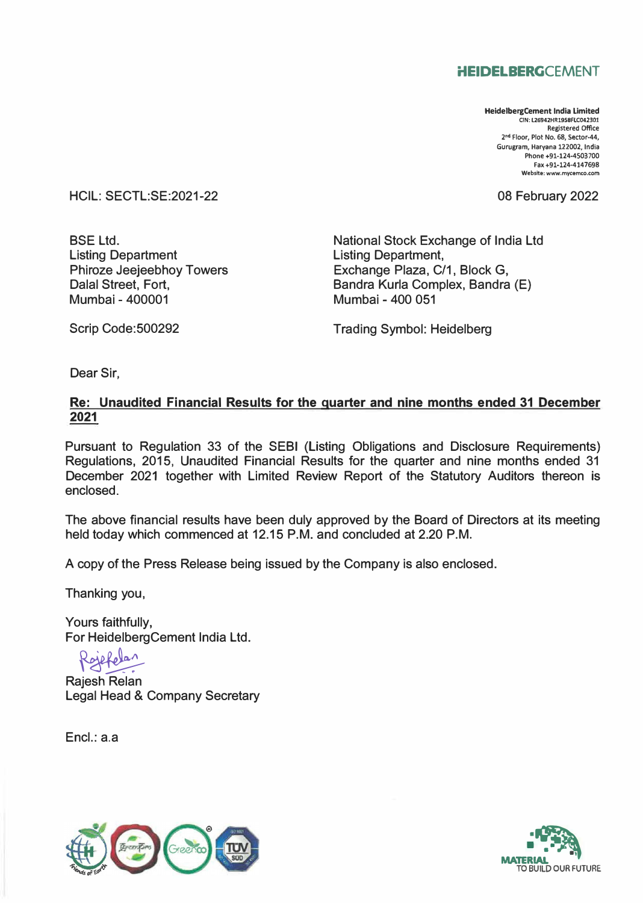# **HEIDELBERGCEMENT**

**HeidelbergCement India Limited CIN: L26942HR1958FLC042301 Registered Office 2"d Floor, Plot No. 68, Sector-44, Gurugram, Haryana 122002, India Phone +91-124-4503700 Fax +91-124-4147698 Website: www.mycemco.com** 

08 February 2022

HCIL: SECTL:SE:2021-22

BSE Ltd. Listing Department Phiroze Jeejeebhoy Towers Dalal Street, Fort, Mumbai - 400001

National Stock Exchange of India Ltd Listing Department, Exchange Plaza, C/1, Block G, Bandra Kurla Complex, Bandra (E) Mumbai - 400 051

Scrip Code:500292

Trading Symbol: Heidelberg

Dear Sir,

# **Re: Unaudited Financial Results for the quarter and nine months ended 31 December 2021**

Pursuant to Regulation 33 of the SEBI (Listing Obligations and Disclosure Requirements) Regulations, 2015, Unaudited Financial Results for the quarter and nine months ended 31 December 2021 together with Limited Review Report of the Statutory Auditors thereon is enclosed.

The above financial results have been duly approved by the Board of Directors at its meeting held today which commenced at 12.15 P.M. and concluded at 2.20 P.M.

A copy of the Press Release being issued by the Company is also enclosed.

Thanking you,

Yours faithfully, For HeidelbergCement India Ltd.

Rojefelan

 $\sum_{i=1}^{n}$ Rajesh Relan Legal Head & Company Secretary

Encl.: a.a



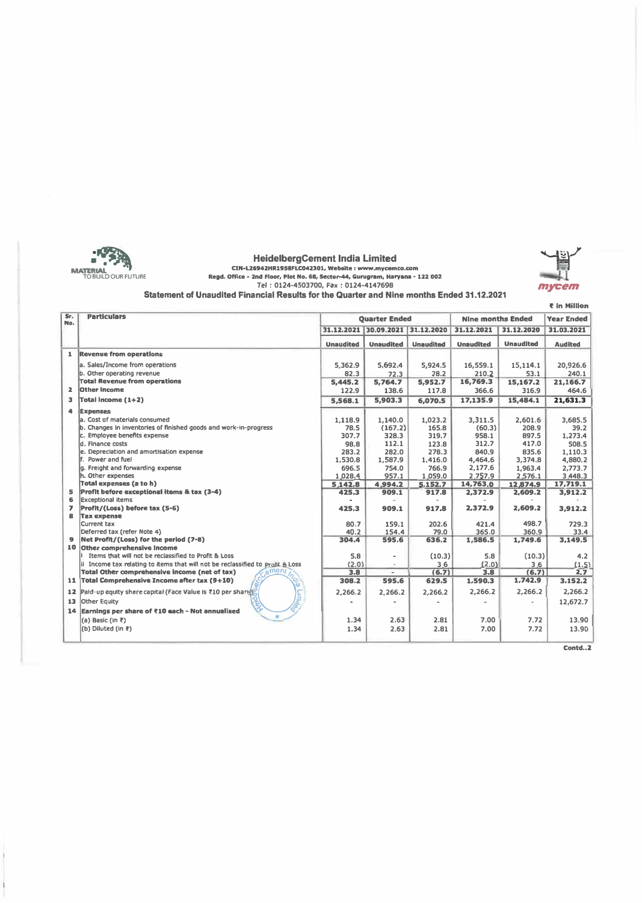

**HeidelbergCement India Limited**  C1N•L2&942HR1958FLC042301, Website : www.mycemco.com Regd. Office • 2nd Floor, Plot No. 68, **5edor-44,** Gurugram, Haryana • 122 002 **Tel : 0124-4503700, Fax : 0124-4147698** 



, In Million

| Sr.<br>No.          | <b>Particulars</b>                                                             | <b>Ouarter Ended</b> |                                  |                  | <b>Nine months Ended</b> |                  | <b>Year Ended</b> |
|---------------------|--------------------------------------------------------------------------------|----------------------|----------------------------------|------------------|--------------------------|------------------|-------------------|
|                     |                                                                                |                      | 31.12.2021 30.09.2021 31.12.2020 |                  | 31.12.2021               | 31.12.2020       | 31.03.2021        |
|                     |                                                                                | <b>Unaudited</b>     | <b>Unaudited</b>                 | <b>Unaudited</b> | <b>Unaudited</b>         | <b>Unaudited</b> | <b>Audited</b>    |
|                     | 1 Revenue from operations                                                      |                      |                                  |                  |                          |                  |                   |
|                     | a. Sales/Income from operations                                                | 5,362.9              | 5,692.4                          | 5,924.5          | 16,559.1                 | 15,114.1         | 20,926.6          |
|                     | b. Other operating revenue                                                     | 82.3                 | 72.3                             | 28.2             | 210.2                    | 53.1             | 240.1             |
|                     | <b>Total Revenue from operations</b>                                           | 5,445.2              | 5,764.7                          | 5,952.7          | 16,769.3                 | 15,167.2         | 21,166.7          |
| $\overline{z}$      | Other income                                                                   | 122.9                | 138.6                            | 117.8            | 366.6                    | 316.9            | 464.6             |
| з                   | Total income (1+2)                                                             | 5,568.1              | 5,903.3                          | 6,070.5          | 17.135.9                 | 15,484.1         | 21,631.3          |
|                     | <b>Expenses</b>                                                                |                      |                                  |                  |                          |                  |                   |
|                     | a. Cost of materials consumed                                                  | 1.118.9              | 1,140.0                          | 1,023.2          | 3,311.5                  | 2,601.6          | 3.685.5           |
|                     | b. Changes in inventories of finished goods and work-in-progress               | 78.5                 | (167.2)                          | 165.8            | (60.3)                   | 208.9            | 39.2              |
|                     | c. Employee benefits expense                                                   | 307.7                | 328.3                            | 319.7            | 958.1                    | 897.5            | 1,273.4           |
|                     | d. Finance costs                                                               | 98.8                 | 112.1                            | 123.8            | 312.7                    | 417.0            | 508.5             |
|                     | e. Depreciation and amortisation expense                                       | 283.2                | 282.0                            | 278.3            | 840.9                    | 835.6            | 1,110.3           |
|                     | f. Power and fuel                                                              | 1,530.8              | 1,587.9                          | 1,416.0          | 4,464.6                  | 3,374.8          | 4,880.2           |
|                     | g. Freight and forwarding expense                                              | 696.5                | 754.0                            | 766.9            | 2,177.6                  | 1,963.4          | 2,773.7           |
|                     | h. Other expenses                                                              | 1,028.4              | 957.1                            | 1,059.0          | 2,757.9                  | 2,576.1          | 3,448.3           |
|                     | Total expenses (a to h)                                                        | 5,142.8              | 4,994.2                          | 5.152.7          | 14,763.0                 | 12,874.9         | 17,719.1          |
| 5                   | Profit before exceptional items & tax (3-4)                                    | 425.3                | 909.1                            | 917.8            | 2,372.9                  | 2,609.2          | 3,912.2           |
| 6                   | <b>Exceptional items</b>                                                       |                      | $\overline{\phantom{a}}$         |                  |                          |                  |                   |
| $\overline{ }$<br>8 | Profit/(Loss) before tax (5-6)                                                 | 425.3                | 909.1                            | 917.8            | 2,372.9                  | 2,609.2          | 3,912.2           |
|                     | <b>Tax expense</b><br>Current tax                                              |                      |                                  | 202.6            | 421.4                    | 498.7            | 729.3             |
|                     | Deferred tax (refer Note 4)                                                    | 80.7<br>40.2         | 159.1<br>154.4                   | 79.0             | 365.0                    | 360.9            | 33.4              |
|                     | 9 Net Profit/(Loss) for the period (7-8)                                       | 304.4                | 595.6                            | 636.2            | 1,586.5                  | 1,749.6          | 3.149.5           |
|                     | 10 Other comprehensive income                                                  |                      |                                  |                  |                          |                  |                   |
|                     | If Items that will not be reclassified to Profit & Loss                        | 5.8                  | $\overline{a}$                   | (10.3)           | 5.8                      | (10.3)           | 4.2               |
|                     | ii Income tax relating to items that will not be reclassified to Profit & Loss | (2.0)                | $\overline{\phantom{a}}$         | 3.6              | (2.0)                    | 3.6              | (1.5)             |
|                     | emen<br>Total Other comprehensive income (net of tax)                          | 3.8                  | ۰.                               | (6.7)            | 3.8                      | (6,7)            | 2.7               |
|                     | 11 Total Comprehensive Income after tax (9+10)                                 | 308.2                | 595.6                            | 629.5            | 1,590.3                  | 1,742.9          | 3,152,2           |
|                     | 12 Paid-up equity share capital (Face Value is ₹10 per share).                 | 2.266.2              | 2.266.2                          | 2,266.2          | 2,266.2                  | 2,266.2          | 2,266.2           |
| 13                  | Other Equity                                                                   |                      |                                  |                  |                          |                  | 12,672.7          |
|                     | 14 Earnings per share of ₹10 each - Not annualised                             |                      |                                  |                  |                          |                  |                   |
|                     | (a) Basic (in ₹)                                                               | 1.34                 | 2.63                             | 2.81             | 7.00                     | 7.72             | 13.90             |
|                     | (b) Diluted (in ₹)                                                             | 1.34                 | 2.63                             | 2.81             | 7.00                     | 7.72             | 13.90             |
|                     |                                                                                |                      |                                  |                  |                          |                  |                   |

**Cantd .. 2**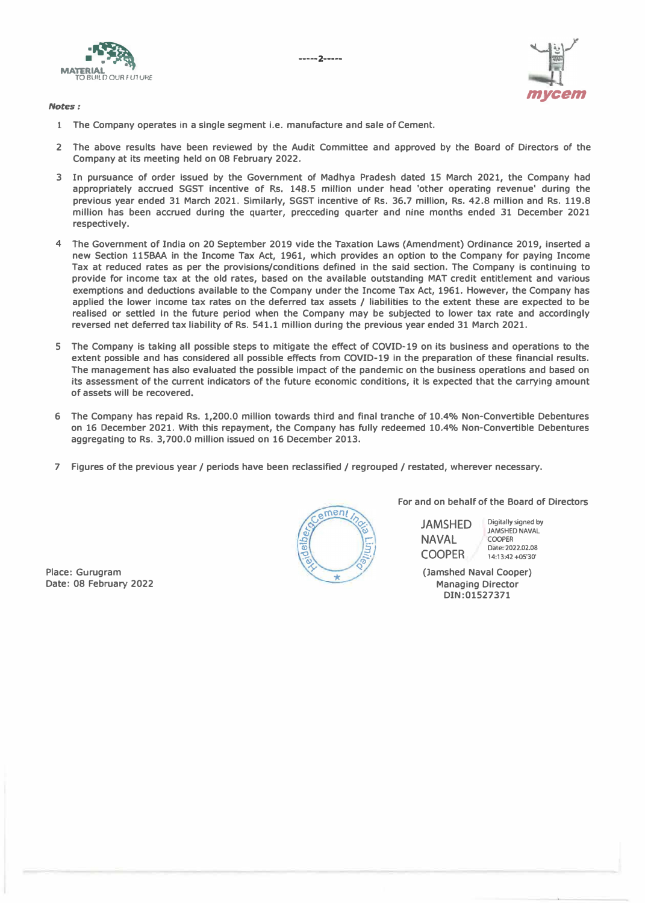**-----2-----**



*Notes:* 



- **1 The Company operates in a single segment i.e. manufacture and sale of Cement.**
- **2 The above results have been reviewed by the Audit Committee and approved by the Board of Directors of the Company at its meeting held on 08 February 2022.**
- **3 In pursuance of order Issued by the Government of Madhya Pradesh dated 15 March 2021, the Company had appropriately accrued SGST incentive of Rs. 148.5 million under head 'other operating revenue' during the previous year ended 31 March 2021. Similarly, SGST incentive of Rs. 36.7 million, Rs. 42.8 million and Rs. 119.8 million has been accrued during the quarter, precceding quarter and nine months ended 31 December 2021 respectively.**
- **4 The Government of India on 20 September 2019 vide the Taxation Laws (Amendment) Ordinance 2019, inserted a new Section llSBAA in the Income Tax Act, 1961, which provides an option to the Company for paying Income Tax at reduced rates as per the provisions/conditions defined in the said section. The Company is continuing to provide for income tax at the old rates, based on the available outstanding MAT credit entitlement and various exemptions and deductions available to the Company under the Income Tax Act, 1961. However, the Company has applied the lower income tax rates on the deferred tax assets / liabilities to the extent these are expected to be realised or settled In the future period when the Company may be subjected to lower tax rate and accordingly reversed net deferred tax liability of Rs. 541.1 million during the previous year ended 31 March 2021.**
- **5 The Company is taking all possible steps to mitigate the effect of COVID-19 on its business and operations to the extent possible and has considered all possible effects from COVID-19 in the preparation of these financial results. The management has also evaluated the possible impact of the pandemic on the business operations and based on**  its assessment of the current indicators of the future economic conditions, it is expected that the carrying amount **of assets will be recovered.**
- **6 The Company has repaid Rs. 1,200.0 million towards third and final tranche of 10.4% Non-Convertible Debentures on 16 December 2021. With this repayment, the Company has fully redeemed 10.4% Non-Convertible Debentures aggregating to Rs. 3,700.0 million issued on 16 December 2013.**
- **7 Figures of the previous year/ periods have been reclassified/ regrouped/ restated, wherever necessary.**



**For and on behalf of the Board of Directors** 

JAMSHED **NAVAL** COOPER **Digitally signed by JAMSHED NAVAL**  COOPER **Date: 2022.02.08 14:13:42 +o5'30'** 

**(Jamshed Naval Cooper) Managing Director DIN:01527371** 

**Place: Gurugram Date: 08 February 2022**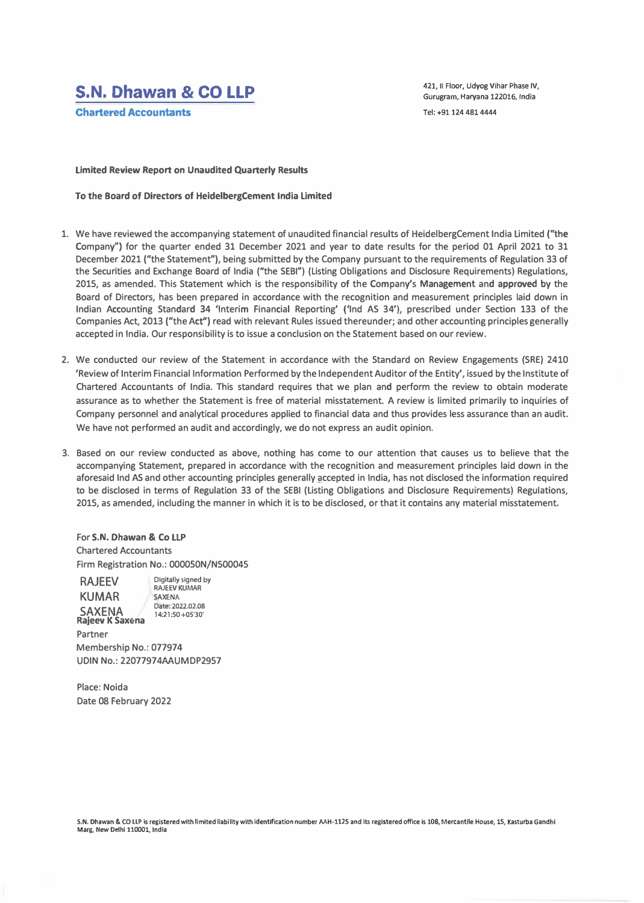# **S.N. Dhawan & CO LLP**

**Chartered Accountants** 

**421, 11 Floor, Udyog Vihar Phase IV, Gurugram, Haryana 122016, India Tel: +91124 4814444** 

#### **Limited Review Report on Unaudited Quarterly Results**

**To the Board of Directors of HeidelbergCement India Limited** 

- 1. We have reviewed the accompanying statement of unaudited financial results of HeidelbergCement India Limited **("the** Company") for the quarter ended 31 December 2021 and year to date results for the period 01 April 2021 to 31 December 2021 ("the Statement"), being submitted by the Company pursuant to the requirements of Regulation 33 of the Securities and Exchange Board of India ("the SEBI") (Listing Obligations and Disclosure Requirements) Regulations, 2015, as amended. This Statement which is the responsibility of the Company's **Management** and **approved** by the Board of Directors, has been prepared in accordance with the recognition and measurement principles laid down in Indian Accounting Standard 34 'Interim Financial Reporting' {'Ind AS 34'), prescribed under Section 133 of the Companies Act, 2013 ("the Act'') read with relevant Rules issued thereunder; and other accounting principles generally accepted in India. Our responsibility is to issue a conclusion on the Statement based on our review.
- 2. We conducted our review of the Statement in accordance with the Standard on Review Engagements (SRE) 2410 'Review of Interim Financial Information Performed by the Independent Auditor of the Entity', issued by the Institute of Chartered Accountants of India. This standard requires that we plan and perform the review to obtain moderate assurance as to whether the Statement is free of material misstatement. A review is limited primarily to inquiries of Company personnel and analytical procedures applied to financial data and thus provides less assurance than an audit. We have not performed an audit and accordingly, we do not express an audit opinion.
- 3. Based on our review conducted as above, nothing has come to our attention that causes us to believe that the accompanying Statement, prepared in accordance with the recognition and measurement principles laid down in the aforesaid Ind AS and other accounting principles generally accepted in India, has not disclosed the information required to be disclosed in terms of Regulation 33 of the SEBI (Listing Obligations and Disclosure Requirements) Regulations, 2015, as amended, including the manner in which it is to be disclosed, or that it contains any material misstatement.

For **S.N. Dhawan** & **Co LLP**  Chartered Accountants Firm Registration No.: 0000S0N/N500045

RAJEEV KUMAR SAXENA **Digitally signed by RAJEEV KUMAR**  SAXENA **Date: 2022.02.08 14:21 :SO +05'30'** 

**Rajeev K Saxena**  Partner Membership No.: 077974 UDIN No.: 22077974AAUMDP2957

Place: Noida Date 08 February 2022